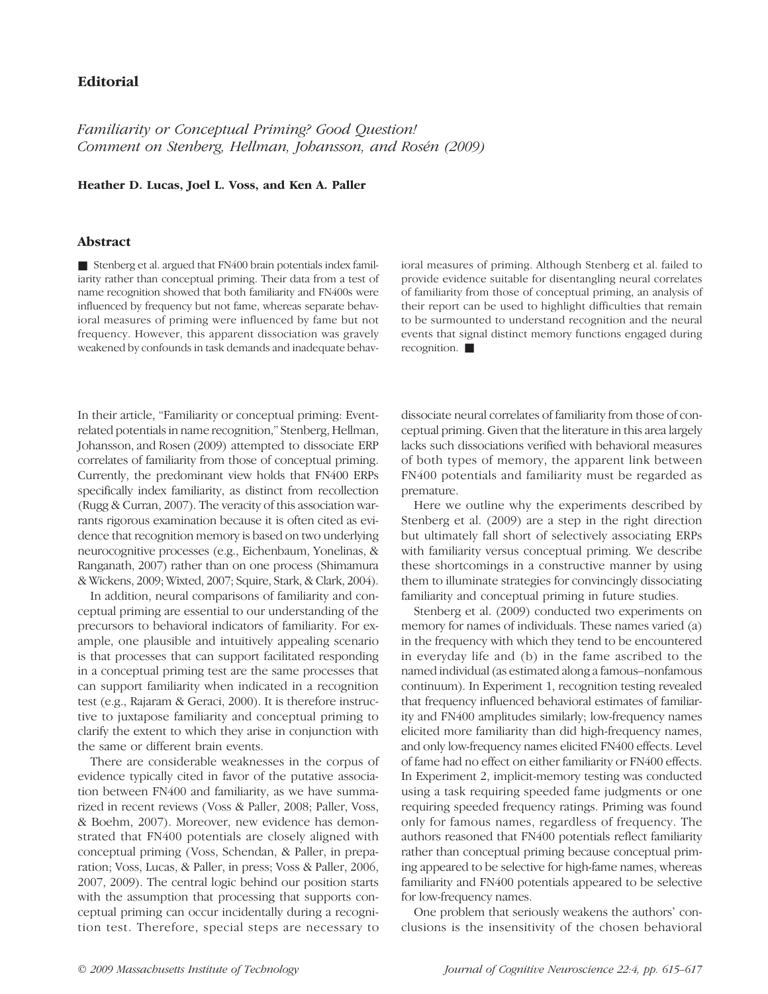## Editorial

Familiarity or Conceptual Priming? Good Question! Comment on Stenberg, Hellman, Johansson, and Rosén (2009)

Heather D. Lucas, Joel L. Voss, and Ken A. Paller

## Abstract

■ Stenberg et al. argued that FN400 brain potentials index familiarity rather than conceptual priming. Their data from a test of name recognition showed that both familiarity and FN400s were influenced by frequency but not fame, whereas separate behavioral measures of priming were influenced by fame but not frequency. However, this apparent dissociation was gravely weakened by confounds in task demands and inadequate behav-

ioral measures of priming. Although Stenberg et al. failed to provide evidence suitable for disentangling neural correlates of familiarity from those of conceptual priming, an analysis of their report can be used to highlight difficulties that remain to be surmounted to understand recognition and the neural events that signal distinct memory functions engaged during recognition. ■

In their article, "Familiarity or conceptual priming: Eventrelated potentials in name recognition," Stenberg, Hellman, Johansson, and Rosen (2009) attempted to dissociate ERP correlates of familiarity from those of conceptual priming. Currently, the predominant view holds that FN400 ERPs specifically index familiarity, as distinct from recollection (Rugg & Curran, 2007). The veracity of this association warrants rigorous examination because it is often cited as evidence that recognition memory is based on two underlying neurocognitive processes (e.g., Eichenbaum, Yonelinas, & Ranganath, 2007) rather than on one process (Shimamura & Wickens, 2009; Wixted, 2007; Squire, Stark, & Clark, 2004).

In addition, neural comparisons of familiarity and conceptual priming are essential to our understanding of the precursors to behavioral indicators of familiarity. For example, one plausible and intuitively appealing scenario is that processes that can support facilitated responding in a conceptual priming test are the same processes that can support familiarity when indicated in a recognition test (e.g., Rajaram & Geraci, 2000). It is therefore instructive to juxtapose familiarity and conceptual priming to clarify the extent to which they arise in conjunction with the same or different brain events.

There are considerable weaknesses in the corpus of evidence typically cited in favor of the putative association between FN400 and familiarity, as we have summarized in recent reviews (Voss & Paller, 2008; Paller, Voss, & Boehm, 2007). Moreover, new evidence has demonstrated that FN400 potentials are closely aligned with conceptual priming (Voss, Schendan, & Paller, in preparation; Voss, Lucas, & Paller, in press; Voss & Paller, 2006, 2007, 2009). The central logic behind our position starts with the assumption that processing that supports conceptual priming can occur incidentally during a recognition test. Therefore, special steps are necessary to

dissociate neural correlates of familiarity from those of conceptual priming. Given that the literature in this area largely lacks such dissociations verified with behavioral measures of both types of memory, the apparent link between FN400 potentials and familiarity must be regarded as premature.

Here we outline why the experiments described by Stenberg et al. (2009) are a step in the right direction but ultimately fall short of selectively associating ERPs with familiarity versus conceptual priming. We describe these shortcomings in a constructive manner by using them to illuminate strategies for convincingly dissociating familiarity and conceptual priming in future studies.

Stenberg et al. (2009) conducted two experiments on memory for names of individuals. These names varied (a) in the frequency with which they tend to be encountered in everyday life and (b) in the fame ascribed to the named individual (as estimated along a famous–nonfamous continuum). In Experiment 1, recognition testing revealed that frequency influenced behavioral estimates of familiarity and FN400 amplitudes similarly; low-frequency names elicited more familiarity than did high-frequency names, and only low-frequency names elicited FN400 effects. Level of fame had no effect on either familiarity or FN400 effects. In Experiment 2, implicit-memory testing was conducted using a task requiring speeded fame judgments or one requiring speeded frequency ratings. Priming was found only for famous names, regardless of frequency. The authors reasoned that FN400 potentials reflect familiarity rather than conceptual priming because conceptual priming appeared to be selective for high-fame names, whereas familiarity and FN400 potentials appeared to be selective for low-frequency names.

One problem that seriously weakens the authors' conclusions is the insensitivity of the chosen behavioral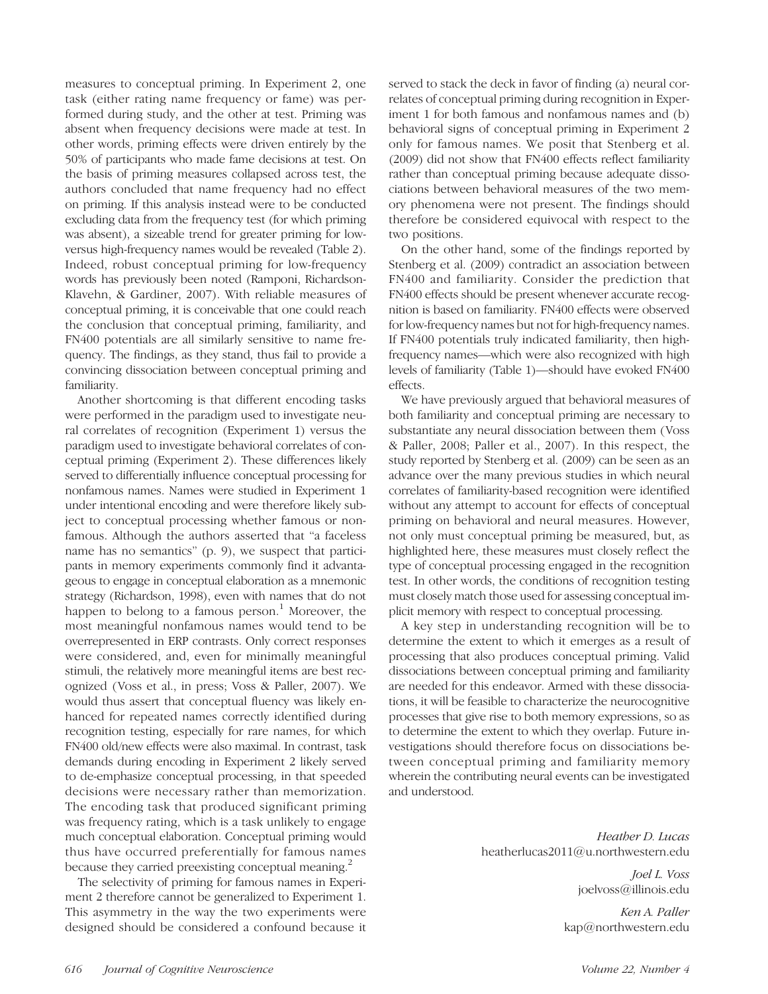measures to conceptual priming. In Experiment 2, one task (either rating name frequency or fame) was performed during study, and the other at test. Priming was absent when frequency decisions were made at test. In other words, priming effects were driven entirely by the 50% of participants who made fame decisions at test. On the basis of priming measures collapsed across test, the authors concluded that name frequency had no effect on priming. If this analysis instead were to be conducted excluding data from the frequency test (for which priming was absent), a sizeable trend for greater priming for lowversus high-frequency names would be revealed (Table 2). Indeed, robust conceptual priming for low-frequency words has previously been noted (Ramponi, Richardson-Klavehn, & Gardiner, 2007). With reliable measures of conceptual priming, it is conceivable that one could reach the conclusion that conceptual priming, familiarity, and FN400 potentials are all similarly sensitive to name frequency. The findings, as they stand, thus fail to provide a convincing dissociation between conceptual priming and familiarity.

Another shortcoming is that different encoding tasks were performed in the paradigm used to investigate neural correlates of recognition (Experiment 1) versus the paradigm used to investigate behavioral correlates of conceptual priming (Experiment 2). These differences likely served to differentially influence conceptual processing for nonfamous names. Names were studied in Experiment 1 under intentional encoding and were therefore likely subject to conceptual processing whether famous or nonfamous. Although the authors asserted that "a faceless name has no semantics" (p. 9), we suspect that participants in memory experiments commonly find it advantageous to engage in conceptual elaboration as a mnemonic strategy (Richardson, 1998), even with names that do not happen to belong to a famous person.<sup>1</sup> Moreover, the most meaningful nonfamous names would tend to be overrepresented in ERP contrasts. Only correct responses were considered, and, even for minimally meaningful stimuli, the relatively more meaningful items are best recognized (Voss et al., in press; Voss & Paller, 2007). We would thus assert that conceptual fluency was likely enhanced for repeated names correctly identified during recognition testing, especially for rare names, for which FN400 old/new effects were also maximal. In contrast, task demands during encoding in Experiment 2 likely served to de-emphasize conceptual processing, in that speeded decisions were necessary rather than memorization. The encoding task that produced significant priming was frequency rating, which is a task unlikely to engage much conceptual elaboration. Conceptual priming would thus have occurred preferentially for famous names because they carried preexisting conceptual meaning.<sup>2</sup>

The selectivity of priming for famous names in Experiment 2 therefore cannot be generalized to Experiment 1. This asymmetry in the way the two experiments were designed should be considered a confound because it served to stack the deck in favor of finding (a) neural correlates of conceptual priming during recognition in Experiment 1 for both famous and nonfamous names and (b) behavioral signs of conceptual priming in Experiment 2 only for famous names. We posit that Stenberg et al. (2009) did not show that FN400 effects reflect familiarity rather than conceptual priming because adequate dissociations between behavioral measures of the two memory phenomena were not present. The findings should therefore be considered equivocal with respect to the two positions.

On the other hand, some of the findings reported by Stenberg et al. (2009) contradict an association between FN400 and familiarity. Consider the prediction that FN400 effects should be present whenever accurate recognition is based on familiarity. FN400 effects were observed for low-frequency names but not for high-frequency names. If FN400 potentials truly indicated familiarity, then highfrequency names—which were also recognized with high levels of familiarity (Table 1)—should have evoked FN400 effects.

We have previously argued that behavioral measures of both familiarity and conceptual priming are necessary to substantiate any neural dissociation between them (Voss & Paller, 2008; Paller et al., 2007). In this respect, the study reported by Stenberg et al. (2009) can be seen as an advance over the many previous studies in which neural correlates of familiarity-based recognition were identified without any attempt to account for effects of conceptual priming on behavioral and neural measures. However, not only must conceptual priming be measured, but, as highlighted here, these measures must closely reflect the type of conceptual processing engaged in the recognition test. In other words, the conditions of recognition testing must closely match those used for assessing conceptual implicit memory with respect to conceptual processing.

A key step in understanding recognition will be to determine the extent to which it emerges as a result of processing that also produces conceptual priming. Valid dissociations between conceptual priming and familiarity are needed for this endeavor. Armed with these dissociations, it will be feasible to characterize the neurocognitive processes that give rise to both memory expressions, so as to determine the extent to which they overlap. Future investigations should therefore focus on dissociations between conceptual priming and familiarity memory wherein the contributing neural events can be investigated and understood.

> Heather D. Lucas heatherlucas2011@u.northwestern.edu

> > Joel L. Voss joelvoss@illinois.edu

Ken A. Paller kap@northwestern.edu